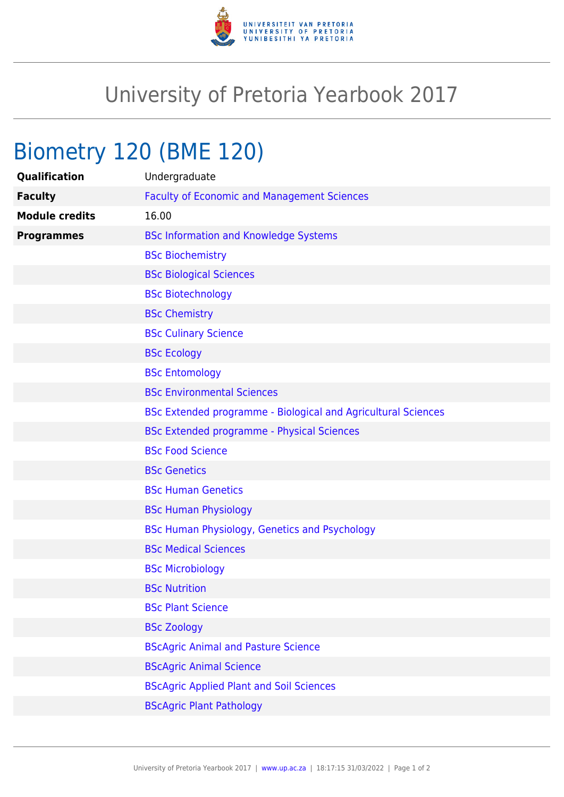

## University of Pretoria Yearbook 2017

## Biometry 120 (BME 120)

| Qualification         | Undergraduate                                                 |
|-----------------------|---------------------------------------------------------------|
| <b>Faculty</b>        | <b>Faculty of Economic and Management Sciences</b>            |
| <b>Module credits</b> | 16.00                                                         |
| <b>Programmes</b>     | <b>BSc Information and Knowledge Systems</b>                  |
|                       | <b>BSc Biochemistry</b>                                       |
|                       | <b>BSc Biological Sciences</b>                                |
|                       | <b>BSc Biotechnology</b>                                      |
|                       | <b>BSc Chemistry</b>                                          |
|                       | <b>BSc Culinary Science</b>                                   |
|                       | <b>BSc Ecology</b>                                            |
|                       | <b>BSc Entomology</b>                                         |
|                       | <b>BSc Environmental Sciences</b>                             |
|                       | BSc Extended programme - Biological and Agricultural Sciences |
|                       | <b>BSc Extended programme - Physical Sciences</b>             |
|                       | <b>BSc Food Science</b>                                       |
|                       | <b>BSc Genetics</b>                                           |
|                       | <b>BSc Human Genetics</b>                                     |
|                       | <b>BSc Human Physiology</b>                                   |
|                       | BSc Human Physiology, Genetics and Psychology                 |
|                       | <b>BSc Medical Sciences</b>                                   |
|                       | <b>BSc Microbiology</b>                                       |
|                       | <b>BSc Nutrition</b>                                          |
|                       | <b>BSc Plant Science</b>                                      |
|                       | <b>BSc Zoology</b>                                            |
|                       | <b>BScAgric Animal and Pasture Science</b>                    |
|                       | <b>BScAgric Animal Science</b>                                |
|                       | <b>BScAgric Applied Plant and Soil Sciences</b>               |
|                       | <b>BScAgric Plant Pathology</b>                               |
|                       |                                                               |